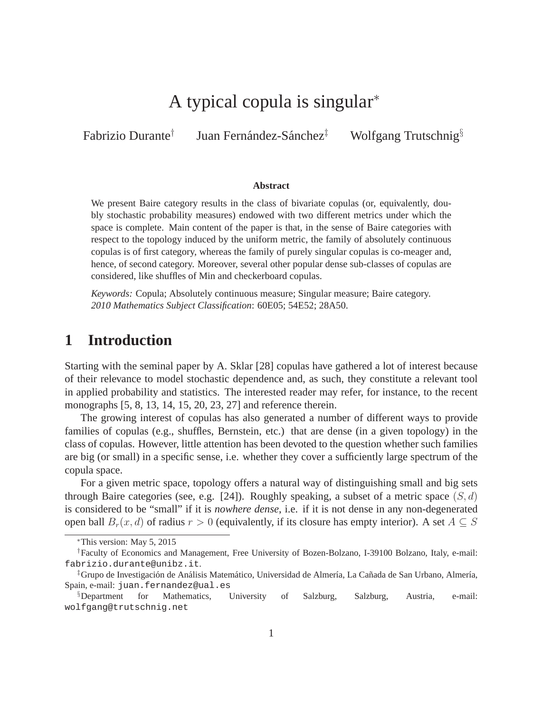# A typical copula is singular<sup>∗</sup>

Fabrizio Durante† Juan Fernández-Sánchez $^{\ddagger}$ Wolfgang Trutschnig<sup>§</sup>

#### **Abstract**

We present Baire category results in the class of bivariate copulas (or, equivalently, doubly stochastic probability measures) endowed with two different metrics under which the space is complete. Main content of the paper is that, in the sense of Baire categories with respect to the topology induced by the uniform metric, the family of absolutely continuous copulas is of first category, whereas the family of purely singular copulas is co-meager and, hence, of second category. Moreover, several other popular dense sub-classes of copulas are considered, like shuffles of Min and checkerboard copulas.

*Keywords:* Copula; Absolutely continuous measure; Singular measure; Baire category. *2010 Mathematics Subject Classification*: 60E05; 54E52; 28A50.

# **1 Introduction**

Starting with the seminal paper by A. Sklar [28] copulas have gathered a lot of interest because of their relevance to model stochastic dependence and, as such, they constitute a relevant tool in applied probability and statistics. The interested reader may refer, for instance, to the recent monographs [5, 8, 13, 14, 15, 20, 23, 27] and reference therein.

The growing interest of copulas has also generated a number of different ways to provide families of copulas (e.g., shuffles, Bernstein, etc.) that are dense (in a given topology) in the class of copulas. However, little attention has been devoted to the question whether such families are big (or small) in a specific sense, i.e. whether they cover a sufficiently large spectrum of the copula space.

For a given metric space, topology offers a natural way of distinguishing small and big sets through Baire categories (see, e.g. [24]). Roughly speaking, a subset of a metric space  $(S, d)$ is considered to be "small" if it is *nowhere dense*, i.e. if it is not dense in any non-degenerated open ball  $B_r(x, d)$  of radius  $r > 0$  (equivalently, if its closure has empty interior). A set  $A \subseteq S$ 

<sup>∗</sup>This version: May 5, 2015

<sup>†</sup>Faculty of Economics and Management, Free University of Bozen-Bolzano, I-39100 Bolzano, Italy, e-mail: fabrizio.durante@unibz.it.

<sup>&</sup>lt;sup>‡</sup>Grupo de Investigación de Análisis Matemático, Universidad de Almería, La Cañada de San Urbano, Almería, Spain, e-mail: juan.fernandez@ual.es

<sup>§</sup>Department for Mathematics, University of Salzburg, Salzburg, Austria, e-mail: wolfgang@trutschnig.net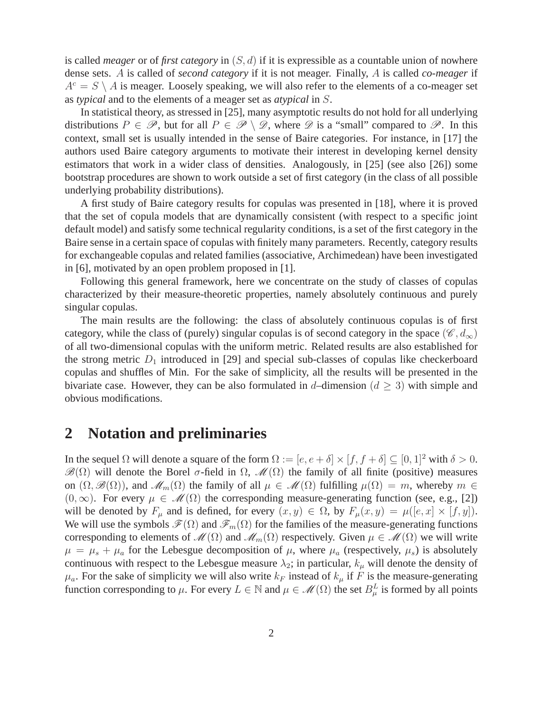is called *meager* or of *first category* in (S, d) if it is expressible as a countable union of nowhere dense sets. A is called of *second category* if it is not meager. Finally, A is called *co-meager* if  $A<sup>c</sup> = S \setminus A$  is meager. Loosely speaking, we will also refer to the elements of a co-meager set as *typical* and to the elements of a meager set as *atypical* in S.

In statistical theory, as stressed in [25], many asymptotic results do not hold for all underlying distributions  $P \in \mathscr{P}$ , but for all  $P \in \mathscr{P} \setminus \mathscr{D}$ , where  $\mathscr{D}$  is a "small" compared to  $\mathscr{P}$ . In this context, small set is usually intended in the sense of Baire categories. For instance, in [17] the authors used Baire category arguments to motivate their interest in developing kernel density estimators that work in a wider class of densities. Analogously, in [25] (see also [26]) some bootstrap procedures are shown to work outside a set of first category (in the class of all possible underlying probability distributions).

A first study of Baire category results for copulas was presented in [18], where it is proved that the set of copula models that are dynamically consistent (with respect to a specific joint default model) and satisfy some technical regularity conditions, is a set of the first category in the Baire sense in a certain space of copulas with finitely many parameters. Recently, category results for exchangeable copulas and related families (associative, Archimedean) have been investigated in [6], motivated by an open problem proposed in [1].

Following this general framework, here we concentrate on the study of classes of copulas characterized by their measure-theoretic properties, namely absolutely continuous and purely singular copulas.

The main results are the following: the class of absolutely continuous copulas is of first category, while the class of (purely) singular copulas is of second category in the space  $(\mathscr{C}, d_{\infty})$ of all two-dimensional copulas with the uniform metric. Related results are also established for the strong metric  $D_1$  introduced in [29] and special sub-classes of copulas like checkerboard copulas and shuffles of Min. For the sake of simplicity, all the results will be presented in the bivariate case. However, they can be also formulated in d–dimension ( $d \geq 3$ ) with simple and obvious modifications.

#### **2 Notation and preliminaries**

In the sequel  $\Omega$  will denote a square of the form  $\Omega := [e, e + \delta] \times [f, f + \delta] \subseteq [0, 1]^2$  with  $\delta > 0$ .  $\mathscr{B}(\Omega)$  will denote the Borel σ-field in  $\Omega$ ,  $\mathscr{M}(\Omega)$  the family of all finite (positive) measures on  $(\Omega, \mathscr{B}(\Omega))$ , and  $\mathscr{M}_m(\Omega)$  the family of all  $\mu \in \mathscr{M}(\Omega)$  fulfilling  $\mu(\Omega) = m$ , whereby  $m \in$  $(0, \infty)$ . For every  $\mu \in \mathcal{M}(\Omega)$  the corresponding measure-generating function (see, e.g., [2]) will be denoted by  $F_{\mu}$  and is defined, for every  $(x, y) \in \Omega$ , by  $F_{\mu}(x, y) = \mu([e, x] \times [f, y])$ . We will use the symbols  $\mathcal{F}(\Omega)$  and  $\mathcal{F}_m(\Omega)$  for the families of the measure-generating functions corresponding to elements of  $\mathcal{M}(\Omega)$  and  $\mathcal{M}_m(\Omega)$  respectively. Given  $\mu \in \mathcal{M}(\Omega)$  we will write  $\mu = \mu_s + \mu_a$  for the Lebesgue decomposition of  $\mu$ , where  $\mu_a$  (respectively,  $\mu_s$ ) is absolutely continuous with respect to the Lebesgue measure  $\lambda_2$ ; in particular,  $k_\mu$  will denote the density of  $\mu_a$ . For the sake of simplicity we will also write  $k_F$  instead of  $k_\mu$  if F is the measure-generating function corresponding to  $\mu$ . For every  $L \in \mathbb{N}$  and  $\mu \in \mathcal{M}(\Omega)$  the set  $B_{\mu}^{L}$  is formed by all points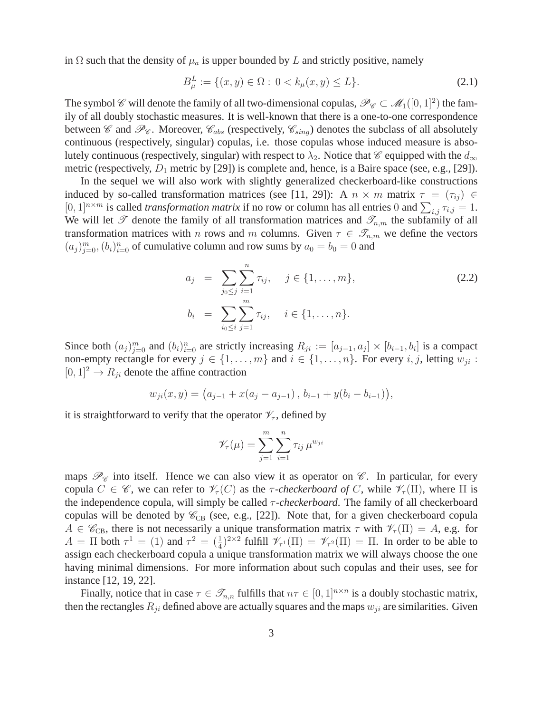in  $\Omega$  such that the density of  $\mu_a$  is upper bounded by L and strictly positive, namely

$$
B_{\mu}^{L} := \{ (x, y) \in \Omega : 0 < k_{\mu}(x, y) \le L \}. \tag{2.1}
$$

The symbol  $\mathscr C$  will denote the family of all two-dimensional copulas,  $\mathscr P_{\mathscr C}\subset \mathscr M_1([0,1]^2)$  the family of all doubly stochastic measures. It is well-known that there is a one-to-one correspondence between  $\mathscr C$  and  $\mathscr P_{\mathscr C}$ . Moreover,  $\mathscr C_{abs}$  (respectively,  $\mathscr C_{sing}$ ) denotes the subclass of all absolutely continuous (respectively, singular) copulas, i.e. those copulas whose induced measure is absolutely continuous (respectively, singular) with respect to  $\lambda_2$ . Notice that  $\mathscr C$  equipped with the  $d_{\infty}$ metric (respectively,  $D_1$  metric by [29]) is complete and, hence, is a Baire space (see, e.g., [29]).

In the sequel we will also work with slightly generalized checkerboard-like constructions induced by so-called transformation matrices (see [11, 29]): A  $n \times m$  matrix  $\tau = (\tau_{ii}) \in$  $[0, 1]^{n \times m}$  is called *transformation matrix* if no row or column has all entries 0 and  $\sum_{i,j} \tau_{i,j} = 1$ . We will let  $\mathscr T$  denote the family of all transformation matrices and  $\mathscr T_{n,m}$  the subfamily of all transformation matrices with n rows and m columns. Given  $\tau \in \mathscr{T}_{n,m}$  we define the vectors  $(a_j)_{j=0}^m$ ,  $(b_i)_{i=0}^n$  of cumulative column and row sums by  $a_0 = b_0 = 0$  and

$$
a_j = \sum_{j_0 \le j} \sum_{i=1}^n \tau_{ij}, \quad j \in \{1, ..., m\},
$$
  
\n
$$
b_i = \sum_{i_0 \le i} \sum_{j=1}^m \tau_{ij}, \quad i \in \{1, ..., n\}.
$$
\n(2.2)

Since both  $(a_j)_{j=0}^m$  and  $(b_i)_{i=0}^n$  are strictly increasing  $R_{ji} := [a_{j-1}, a_j] \times [b_{i-1}, b_i]$  is a compact non-empty rectangle for every  $j \in \{1, \ldots, m\}$  and  $i \in \{1, \ldots, n\}$ . For every i, j, letting  $w_{ji}$ :  $[0, 1]^2 \rightarrow R_{ii}$  denote the affine contraction

$$
w_{ji}(x,y) = (a_{j-1} + x(a_j - a_{j-1}), b_{i-1} + y(b_i - b_{i-1})),
$$

it is straightforward to verify that the operator  $\mathcal{V}_{\tau}$ , defined by

$$
\mathscr{V}_{\tau}(\mu) = \sum_{j=1}^{m} \sum_{i=1}^{n} \tau_{ij} \,\mu^{w_{ji}}
$$

maps  $\mathcal{P}_{\mathscr{C}}$  into itself. Hence we can also view it as operator on  $\mathscr{C}$ . In particular, for every copula  $C \in \mathscr{C}$ , we can refer to  $\mathscr{V}_{\tau}(C)$  as the  $\tau$ -*checkerboard of* C, while  $\mathscr{V}_{\tau}(\Pi)$ , where  $\Pi$  is the independence copula, will simply be called τ *-checkerboard*. The family of all checkerboard copulas will be denoted by  $\mathcal{C}_{CB}$  (see, e.g., [22]). Note that, for a given checkerboard copula  $A \in \mathscr{C}_{CB}$ , there is not necessarily a unique transformation matrix  $\tau$  with  $\mathscr{V}_{\tau}(\Pi) = A$ , e.g. for  $A = \Pi$  both  $\tau^1 = (1)$  and  $\tau^2 = (\frac{1}{4})^{2 \times 2}$  fulfill  $\mathcal{V}_{\tau^1}(\Pi) = \mathcal{V}_{\tau^2}(\Pi) = \Pi$ . In order to be able to assign each checkerboard copula a unique transformation matrix we will always choose the one having minimal dimensions. For more information about such copulas and their uses, see for instance [12, 19, 22].

Finally, notice that in case  $\tau \in \mathcal{I}_{n,n}$  fulfills that  $n\tau \in [0,1]^{n\times n}$  is a doubly stochastic matrix, then the rectangles  $R_{ji}$  defined above are actually squares and the maps  $w_{ji}$  are similarities. Given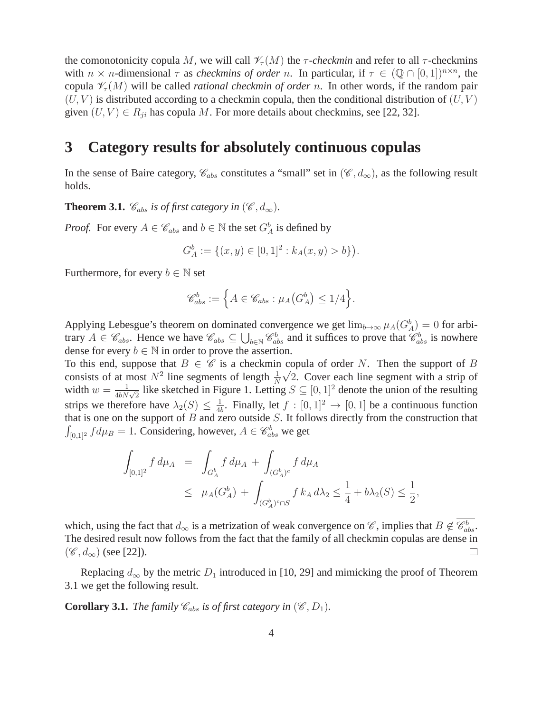the comonotonicity copula M, we will call  $\mathcal{V}_\tau(M)$  the  $\tau$ -checkmin and refer to all  $\tau$ -checkmins with  $n \times n$ -dimensional  $\tau$  as *checkmins of order* n. In particular, if  $\tau \in (\mathbb{Q} \cap [0,1])^{n \times n}$ , the copula  $\mathcal{V}_{\tau}(M)$  will be called *rational checkmin of order* n. In other words, if the random pair  $(U, V)$  is distributed according to a checkmin copula, then the conditional distribution of  $(U, V)$ given  $(U, V) \in R_{ji}$  has copula M. For more details about checkmins, see [22, 32].

### **3 Category results for absolutely continuous copulas**

In the sense of Baire category,  $\mathcal{C}_{abs}$  constitutes a "small" set in  $(\mathcal{C}, d_{\infty})$ , as the following result holds.

**Theorem 3.1.**  $\mathcal{C}_{abs}$  *is of first category in*  $(\mathcal{C}, d_{\infty})$ *.* 

*Proof.* For every  $A \in \mathcal{C}_{abs}$  and  $b \in \mathbb{N}$  the set  $G_A^b$  is defined by

$$
G_A^b := \{(x, y) \in [0, 1]^2 : k_A(x, y) > b\}.
$$

Furthermore, for every  $b \in \mathbb{N}$  set

$$
\mathscr{C}^b_{abs}:=\Big\{A\in\mathscr{C}_{abs}: \mu_A\big(G_A^b\big)\leq 1/4\Big\}.
$$

Applying Lebesgue's theorem on dominated convergence we get  $\lim_{b\to\infty} \mu_A(G_A^b) = 0$  for arbitrary  $A \in \mathscr{C}_{abs}$ . Hence we have  $\mathscr{C}_{abs} \subseteq \bigcup_{b \in \mathbb{N}} \mathscr{C}_{abs}^b$  and it suffices to prove that  $\mathscr{C}_{abs}^b$  is nowhere dense for every  $b \in \mathbb{N}$  in order to prove the assertion.

To this end, suppose that  $B \in \mathscr{C}$  is a checkmin copula of order N. Then the support of B consists of at most  $N^2$  line segments of length  $\frac{1}{N}$  $\sqrt{2}$ . Cover each line segment with a strip of width  $w = \frac{1}{4bN\sqrt{2}}$  like sketched in Figure 1. Letting  $S \subseteq [0, 1]^2$  denote the union of the resulting strips we therefore have  $\lambda_2(S) \leq \frac{1}{4l}$  $\frac{1}{4b}$ . Finally, let  $f : [0, 1]^2 \rightarrow [0, 1]$  be a continuous function that is one on the support of  $B$  and zero outside  $S$ . It follows directly from the construction that  $\int_{[0,1]^2} f d\mu_B = 1$ . Considering, however,  $A \in \mathscr{C}^b_{abs}$  we get

$$
\int_{[0,1]^2} f d\mu_A = \int_{G_A^b} f d\mu_A + \int_{(G_A^b)^c} f d\mu_A
$$
\n
$$
\leq \mu_A(G_A^b) + \int_{(G_A^b)^c \cap S} f k_A d\lambda_2 \leq \frac{1}{4} + b\lambda_2(S) \leq \frac{1}{2},
$$

which, using the fact that  $d_{\infty}$  is a metrization of weak convergence on  $\mathscr{C}$ , implies that  $B \notin \overline{\mathscr{C}_{abs}^b}$ . The desired result now follows from the fact that the family of all checkmin copulas are dense in  $(\mathscr{C}, d_{\infty})$  (see [22]).  $\Box$ 

Replacing  $d_{\infty}$  by the metric  $D_1$  introduced in [10, 29] and mimicking the proof of Theorem 3.1 we get the following result.

**Corollary 3.1.** *The family*  $\mathcal{C}_{abs}$  *is of first category in*  $(\mathcal{C}, D_1)$ *.*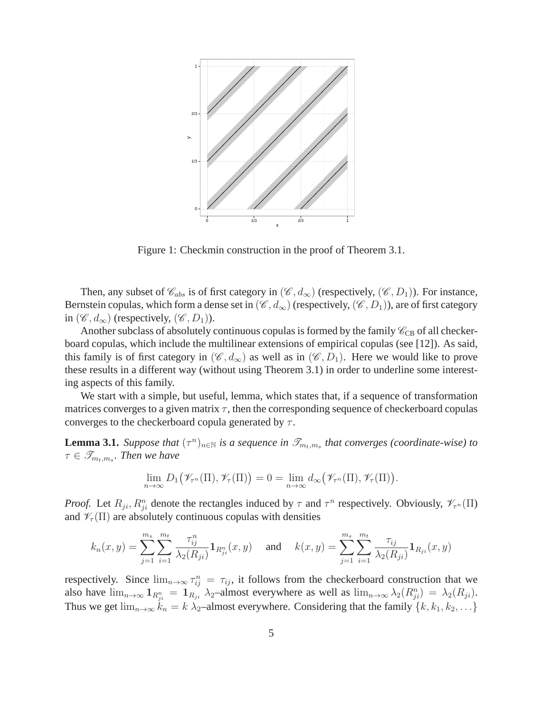

Figure 1: Checkmin construction in the proof of Theorem 3.1.

Then, any subset of  $\mathcal{C}_{abs}$  is of first category in  $(\mathcal{C}, d_{\infty})$  (respectively,  $(\mathcal{C}, D_1)$ ). For instance, Bernstein copulas, which form a dense set in  $(\mathscr{C}, d_{\infty})$  (respectively,  $(\mathscr{C}, D_1)$ ), are of first category in  $(\mathscr{C}, d_{\infty})$  (respectively,  $(\mathscr{C}, D_1)$ ).

Another subclass of absolutely continuous copulas is formed by the family  $\mathcal{C}_{CB}$  of all checkerboard copulas, which include the multilinear extensions of empirical copulas (see [12]). As said, this family is of first category in  $(\mathscr{C}, d_{\infty})$  as well as in  $(\mathscr{C}, D_1)$ . Here we would like to prove these results in a different way (without using Theorem 3.1) in order to underline some interesting aspects of this family.

We start with a simple, but useful, lemma, which states that, if a sequence of transformation matrices converges to a given matrix  $\tau$ , then the corresponding sequence of checkerboard copulas converges to the checkerboard copula generated by  $\tau$ .

**Lemma 3.1.** *Suppose that*  $(\tau^n)_{n \in \mathbb{N}}$  *is a sequence in*  $\mathcal{T}_{m_t,m_s}$  *that converges (coordinate-wise) to*  $\tau \in \mathscr{T}_{m_t,m_s}$ . Then we have

$$
\lim_{n\to\infty} D_1(\mathscr{V}_{\tau^n}(\Pi), \mathscr{V}_{\tau}(\Pi)) = 0 = \lim_{n\to\infty} d_{\infty}(\mathscr{V}_{\tau^n}(\Pi), \mathscr{V}_{\tau}(\Pi)).
$$

*Proof.* Let  $R_{ji}$ ,  $R_{ji}^n$  denote the rectangles induced by  $\tau$  and  $\tau^n$  respectively. Obviously,  $\mathcal{V}_{\tau^n}(\Pi)$ and  $\mathscr{V}_{\tau}(\Pi)$  are absolutely continuous copulas with densities

$$
k_n(x,y) = \sum_{j=1}^{m_s} \sum_{i=1}^{m_t} \frac{\tau_{ij}^n}{\lambda_2(R_{ji})} \mathbf{1}_{R_{ji}^n}(x,y) \quad \text{ and } \quad k(x,y) = \sum_{j=1}^{m_s} \sum_{i=1}^{m_t} \frac{\tau_{ij}}{\lambda_2(R_{ji})} \mathbf{1}_{R_{ji}}(x,y)
$$

respectively. Since  $\lim_{n\to\infty} \tau_{ij}^n = \tau_{ij}$ , it follows from the checkerboard construction that we also have  $\lim_{n\to\infty} 1_{R_{ji}^n} = 1_{R_{ji}} \lambda_2$ -almost everywhere as well as  $\lim_{n\to\infty} \lambda_2(R_{ji}^n) = \lambda_2(R_{ji})$ . Thus we get  $\lim_{n\to\infty} k_n = k \lambda_2$ -almost everywhere. Considering that the family  $\{k, k_1, k_2, \ldots\}$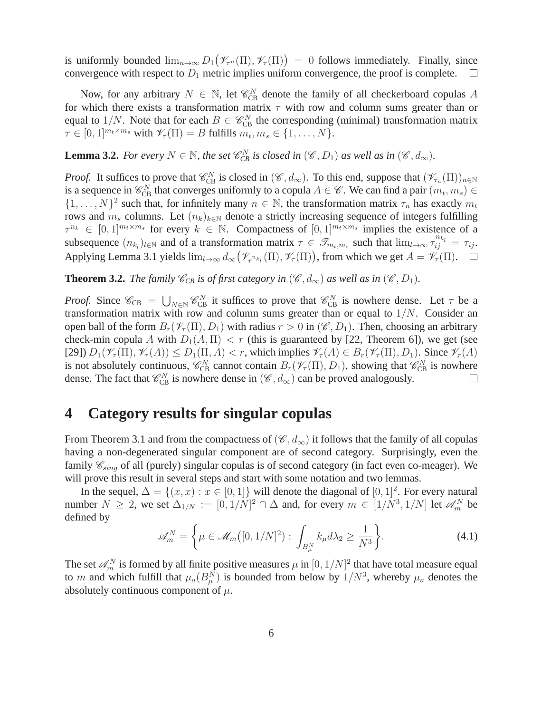is uniformly bounded  $\lim_{n\to\infty} D_1(\mathcal{V}_{\tau^n}(\Pi), \mathcal{V}_\tau(\Pi)) = 0$  follows immediately. Finally, since convergence with respect to  $D_1$  metric implies uniform convergence, the proof is complete.

Now, for any arbitrary  $N \in \mathbb{N}$ , let  $\mathcal{C}_{CB}^N$  denote the family of all checkerboard copulas A for which there exists a transformation matrix  $\tau$  with row and column sums greater than or equal to  $1/N$ . Note that for each  $B \in \mathcal{C}_{CB}^N$  the corresponding (minimal) transformation matrix  $\tau \in [0,1]^{m_t \times m_s}$  with  $\mathscr{V}_{\tau}(\Pi) = B$  fulfills  $m_t, m_s \in \{1, ..., N\}.$ 

**Lemma 3.2.** *For every*  $N \in \mathbb{N}$ *, the set*  $\mathcal{C}_{CB}^N$  *is closed in*  $(\mathcal{C}, D_1)$  *as well as in*  $(\mathcal{C}, d_{\infty})$ *.* 

*Proof.* It suffices to prove that  $\mathcal{C}_{CB}^N$  is closed in  $(\mathcal{C}, d_{\infty})$ . To this end, suppose that  $(\mathcal{V}_{\tau_n}(\Pi))_{n\in\mathbb{N}}$ is a sequence in  $\mathcal{C}_{CB}^N$  that converges uniformly to a copula  $A \in \mathcal{C}$ . We can find a pair  $(m_t, m_s) \in$  $\{1, \ldots, N\}^2$  such that, for infinitely many  $n \in \mathbb{N}$ , the transformation matrix  $\tau_n$  has exactly  $m_t$ rows and  $m_s$  columns. Let  $(n_k)_{k \in \mathbb{N}}$  denote a strictly increasing sequence of integers fulfilling  $\tau^{n_k} \in [0,1]^{m_t \times m_s}$  for every  $k \in \mathbb{N}$ . Compactness of  $[0,1]^{m_t \times m_s}$  implies the existence of a subsequence  $(n_{k_l})_{l \in \mathbb{N}}$  and of a transformation matrix  $\tau \in \mathscr{T}_{m_t,m_s}$  such that  $\lim_{l \to \infty} \tau_{ij}^{n_{k_l}} = \tau_{ij}$ . Applying Lemma 3.1 yields  $\lim_{l\to\infty} d_{\infty}(\mathcal{V}_{\tau^{n_{k_l}}}(\Pi), \mathcal{V}_{\tau}(\Pi))$ , from which we get  $A = \mathcal{V}_{\tau}(\Pi)$ .

**Theorem 3.2.** *The family*  $\mathcal{C}_{CB}$  *is of first category in* ( $\mathcal{C}, d_{\infty}$ ) *as well as in* ( $\mathcal{C}, D_1$ )*.* 

*Proof.* Since  $\mathcal{C}_{CB} = \bigcup_{N \in \mathbb{N}} \mathcal{C}_{CB}^N$  it suffices to prove that  $\mathcal{C}_{CB}^N$  is nowhere dense. Let  $\tau$  be a transformation matrix with row and column sums greater than or equal to  $1/N$ . Consider an open ball of the form  $B_r(\mathscr{V}_r(\Pi), D_1)$  with radius  $r > 0$  in  $(\mathscr{C}, D_1)$ . Then, choosing an arbitrary check-min copula A with  $D_1(A,\Pi) < r$  (this is guaranteed by [22, Theorem 6]), we get (see [29])  $D_1(\mathcal{V}_\tau(\Pi), \mathcal{V}_\tau(A)) \leq D_1(\Pi, A) < r$ , which implies  $\mathcal{V}_\tau(A) \in B_r(\mathcal{V}_\tau(\Pi), D_1)$ . Since  $\mathcal{V}_\tau(A)$ is not absolutely continuous,  $\mathscr{C}_{CB}^N$  cannot contain  $B_r(\mathscr{V}_\tau(\Pi), D_1)$ , showing that  $\mathscr{C}_{CB}^N$  is nowhere dense. The fact that  $\mathcal{C}_{CB}^N$  is nowhere dense in  $(\mathcal{C}, d_{\infty})$  can be proved analogously.  $\Box$ 

# **4 Category results for singular copulas**

From Theorem 3.1 and from the compactness of  $(\mathscr{C}, d_{\infty})$  it follows that the family of all copulas having a non-degenerated singular component are of second category. Surprisingly, even the family  $\mathcal{C}_{sing}$  of all (purely) singular copulas is of second category (in fact even co-meager). We will prove this result in several steps and start with some notation and two lemmas.

In the sequel,  $\Delta = \{(x, x) : x \in [0, 1]\}$  will denote the diagonal of  $[0, 1]^2$ . For every natural number  $N \ge 2$ , we set  $\Delta_{1/N} := [0, 1/N]^2 \cap \Delta$  and, for every  $m \in [1/N^3, 1/N]$  let  $\mathscr{A}_{m}^{N}$  be defined by

$$
\mathscr{A}_m^N = \left\{ \mu \in \mathscr{M}_m([0, 1/N]^2) : \int_{B_\mu^N} k_\mu d\lambda_2 \ge \frac{1}{N^3} \right\}.
$$
 (4.1)

The set  $\mathscr{A}_{m}^{N}$  is formed by all finite positive measures  $\mu$  in  $[0,1/N]^{2}$  that have total measure equal to m and which fulfill that  $\mu_a(B_\mu^N)$  is bounded from below by  $1/N^3$ , whereby  $\mu_a$  denotes the absolutely continuous component of  $\mu$ .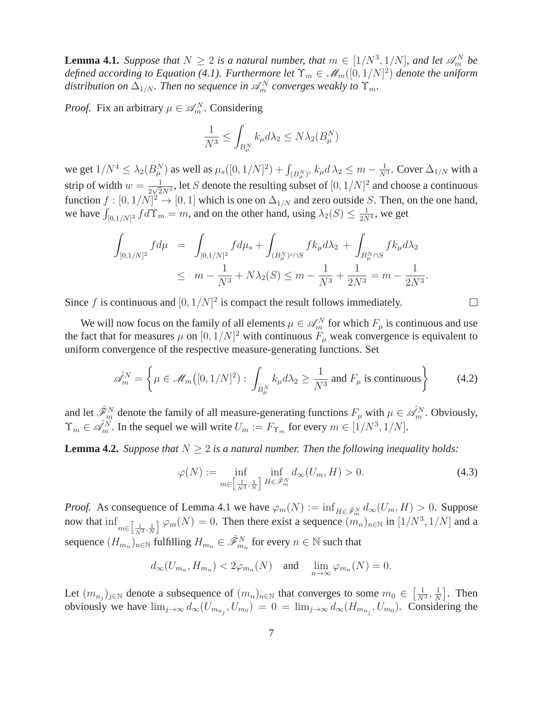**Lemma 4.1.** *Suppose that*  $N \geq 2$  *is a natural number, that*  $m \in [1/N^3, 1/N]$ *, and let*  $\mathscr{A}_m^N$  *be defined according to Equation (4.1). Furthermore let*  $\Upsilon_m \in \mathcal{M}_m([0,1/N]^2)$  *denote the uniform* distribution on  $\Delta_{1/N}$ . Then no sequence in  $\mathscr{A}_{m}^{N}$  converges weakly to  $\Upsilon_{m}$ .

*Proof.* Fix an arbitrary  $\mu \in \mathcal{A}_m^N$ . Considering

$$
\frac{1}{N^3} \le \int_{B_\mu^N} k_\mu d\lambda_2 \le N \lambda_2(B_\mu^N)
$$

we get  $1/N^4\leq \lambda_2(B_\mu^N)$  as well as  $\mu_s([0,1/N]^2)+\int_{(B_\mu^N)^c}k_\mu d\lambda_2\leq m-\frac{1}{N^3}.$  Cover  $\Delta_{1/N}$  with a strip of width  $w = \frac{1}{2\sqrt{2}}$  $\frac{1}{2\sqrt{2}N^3}$ , let S denote the resulting subset of  $[0, 1/N]^2$  and choose a continuous function  $f : [0, 1/N]^2 \to [0, 1]$  which is one on  $\Delta_{1/N}$  and zero outside S. Then, on the one hand, we have  $\int_{[0,1/N]^2} f d\Upsilon_m = m$ , and on the other hand, using  $\lambda_2(S) \leq \frac{1}{2N^4}$ , we get

$$
\int_{[0,1/N]^2} f d\mu = \int_{[0,1/N]^2} f d\mu_s + \int_{(B^N_\mu)^c \cap S} f k_\mu d\lambda_2 + \int_{B^N_\mu \cap S} f k_\mu d\lambda_2
$$
  
 
$$
\leq m - \frac{1}{N^3} + N\lambda_2(S) \leq m - \frac{1}{N^3} + \frac{1}{2N^3} = m - \frac{1}{2N^3}.
$$

Since f is continuous and  $[0, 1/N]^2$  is compact the result follows immediately.

We will now focus on the family of all elements  $\mu \in \mathscr{A}_m^N$  for which  $F_\mu$  is continuous and use the fact that for measures  $\mu$  on  $[0, 1/N]^2$  with continuous  $F_{\mu}$  weak convergence is equivalent to uniform convergence of the respective measure-generating functions. Set

$$
\hat{\mathscr{A}}_m^N = \left\{ \mu \in \mathscr{M}_m([0, 1/N]^2) : \int_{B_\mu^N} k_\mu d\lambda_2 \ge \frac{1}{N^3} \text{ and } F_\mu \text{ is continuous} \right\} \tag{4.2}
$$

and let  $\hat{\mathscr{F}}_m^N$  denote the family of all measure-generating functions  $F_\mu$  with  $\mu \in \hat{\mathscr{A}}_m^N$ . Obviously,  $\Upsilon_m \in \mathcal{A}_m^N$ . In the sequel we will write  $U_m := F_{\Upsilon_m}$  for every  $m \in [1/N^3, 1/N]$ .

**Lemma 4.2.** *Suppose that*  $N \geq 2$  *is a natural number. Then the following inequality holds:* 

$$
\varphi(N) := \inf_{m \in \left[\frac{1}{N^3}, \frac{1}{N}\right]} \inf_{H \in \hat{\mathscr{F}}_m^N} d_{\infty}(U_m, H) > 0. \tag{4.3}
$$

 $\Box$ 

*Proof.* As consequence of Lemma 4.1 we have  $\varphi_m(N) := \inf_{H \in \hat{\mathcal{F}}_m^N} d_\infty(U_m, H) > 0$ . Suppose now that  $\inf_{m \in \left[\frac{1}{N^3},\frac{1}{N}\right]} \varphi_m(N) = 0$ . Then there exist a sequence  $(m_n)_{n \in \mathbb{N}}$  in  $[1/N^3, 1/N]$  and a sequence  $(H_{m_n})_{n\in\mathbb{N}}$  fulfilling  $H_{m_n}\in \hat{\mathscr{F}}_{m_n}^N$  for every  $n\in\mathbb{N}$  such that

$$
d_{\infty}(U_{m_n}, H_{m_n}) < 2\varphi_{m_n}(N)
$$
 and  $\lim_{n \to \infty} \varphi_{m_n}(N) = 0$ .

Let  $(m_{n_j})_{j\in\mathbb{N}}$  denote a subsequence of  $(m_n)_{n\in\mathbb{N}}$  that converges to some  $m_0 \in \left[\frac{1}{N^3}, \frac{1}{N}\right]$  $\frac{1}{N}$ . Then obviously we have  $\lim_{j\to\infty} d_{\infty}(U_{m_{n_j}}, U_{m_0}) = 0 = \lim_{j\to\infty} d_{\infty}(H_{m_{n_j}}, U_{m_0})$ . Considering the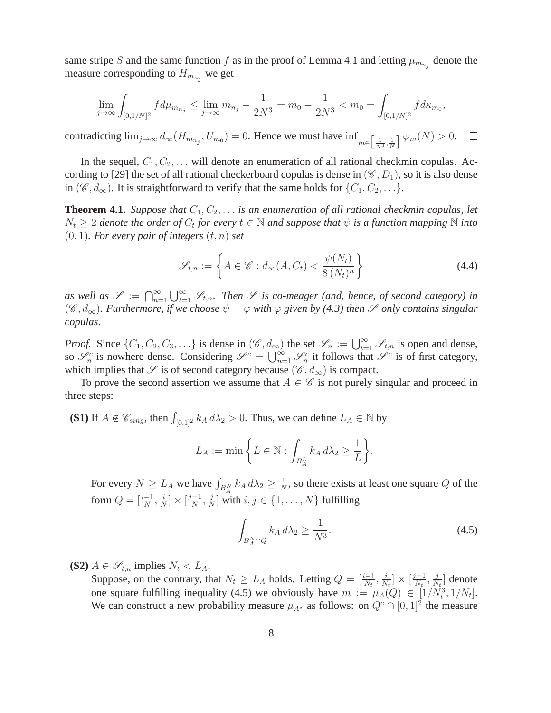same stripe S and the same function f as in the proof of Lemma 4.1 and letting  $\mu_{m_{n_j}}$  denote the measure corresponding to  $H_{m_{n_j}}$  we get

$$
\lim_{j \to \infty} \int_{[0,1/N]^2} f d\mu_{m_{n_j}} \le \lim_{j \to \infty} m_{n_j} - \frac{1}{2N^3} = m_0 - \frac{1}{2N^3} < m_0 = \int_{[0,1/N]^2} f d\kappa_{m_0},
$$

contradicting  $\lim_{j\to\infty} d_{\infty}(H_{m_{n_j}}, U_{m_0}) = 0$ . Hence we must have  $\inf_{m \in \left[\frac{1}{N^3}, \frac{1}{N}\right]} \varphi_m(N) > 0$ .  $\Box$ 

In the sequel,  $C_1, C_2, \ldots$  will denote an enumeration of all rational checkmin copulas. According to [29] the set of all rational checkerboard copulas is dense in  $(\mathscr{C}, D_1)$ , so it is also dense in  $(\mathscr{C}, d_{\infty})$ . It is straightforward to verify that the same holds for  $\{C_1, C_2, \ldots\}$ .

**Theorem 4.1.** *Suppose that*  $C_1, C_2, \ldots$  *is an enumeration of all rational checkmin copulas, let*  $N_t \geq 2$  denote the order of  $C_t$  for every  $t \in \mathbb{N}$  and suppose that  $\psi$  is a function mapping  $\mathbb N$  into  $(0, 1)$ *. For every pair of integers*  $(t, n)$  *set* 

$$
\mathcal{S}_{t,n} := \left\{ A \in \mathcal{C} : d_{\infty}(A, C_t) < \frac{\psi(N_t)}{8 \left(N_t\right)^n} \right\} \tag{4.4}
$$

as well as  $\mathscr{S} := \bigcap_{n=1}^{\infty} \bigcup_{t=1}^{\infty} \mathscr{S}_{t,n}$ . Then  $\mathscr{S}$  is co-meager (and, hence, of second category) in  $(\mathscr{C}, d_{\infty})$ . Furthermore, if we choose  $\psi = \varphi$  with  $\varphi$  *given by (4.3) then*  $\mathscr{S}$  *only contains singular copulas.*

*Proof.* Since  $\{C_1, C_2, C_3, \ldots\}$  is dense in  $(\mathscr{C}, d_{\infty})$  the set  $\mathscr{S}_n := \bigcup_{t=1}^{\infty} \mathscr{S}_{t,n}$  is open and dense, so  $\mathscr{S}_n^c$  is nowhere dense. Considering  $\mathscr{S}^c = \bigcup_{n=1}^{\infty} \mathscr{S}_n^c$  it follows that  $\mathscr{S}^c$  is of first category, which implies that  $\mathscr S$  is of second category because  $(\mathscr C, d_{\infty})$  is compact.

To prove the second assertion we assume that  $A \in \mathscr{C}$  is not purely singular and proceed in three steps:

**(S1)** If  $A \notin \mathcal{C}_{sing}$ , then  $\int_{[0,1]^2} k_A d\lambda_2 > 0$ . Thus, we can define  $L_A \in \mathbb{N}$  by

$$
L_A := \min \left\{ L \in \mathbb{N} : \int_{B_A^L} k_A \, d\lambda_2 \ge \frac{1}{L} \right\}.
$$

For every  $N \ge L_A$  we have  $\int_{B_A^N} k_A d\lambda_2 \ge \frac{1}{N}$  $\frac{1}{N}$ , so there exists at least one square Q of the form  $Q = [\frac{i-1}{N}, \frac{i}{N}]$  $\frac{i}{N}]\times[\frac{j-1}{N},\frac{j}{N}]$  $\frac{j}{N}$  with  $i, j \in \{1, \ldots, N\}$  fulfilling

$$
\int_{B_A^N \cap Q} k_A \, d\lambda_2 \ge \frac{1}{N^3}.\tag{4.5}
$$

**(S2)**  $A \in \mathscr{S}_{t,n}$  implies  $N_t < L_A$ .

Suppose, on the contrary, that  $N_t \geq L_A$  holds. Letting  $Q = \left[\frac{i-1}{N_t}, \frac{i}{N}\right]$  $\frac{i}{N_t} \rbrack \times \left[ \frac{j-1}{N_t}, \frac{j}{N_t} \right]$  $\frac{j}{N_t}$  denote one square fulfilling inequality (4.5) we obviously have  $m := \mu_A(Q) \in [1/N_t^3, 1/N_t]$ . We can construct a new probability measure  $\mu_{A^*}$  as follows: on  $Q^c \cap [0,1]^2$  the measure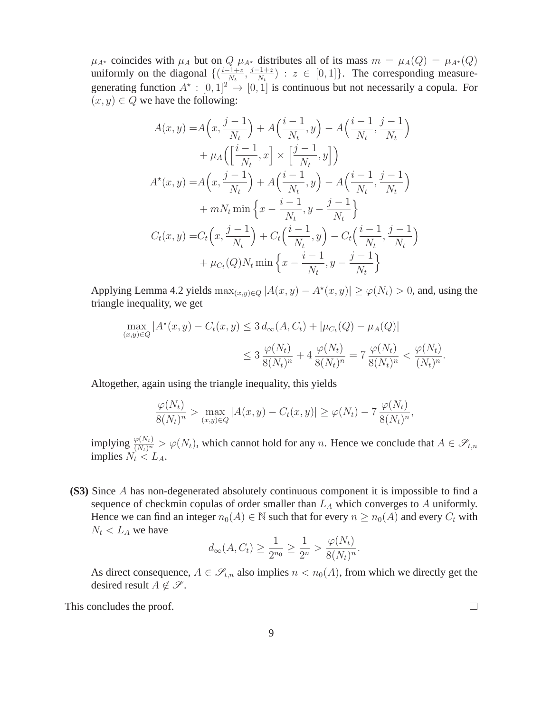$\mu_{A^*}$  coincides with  $\mu_A$  but on  $Q$   $\mu_{A^*}$  distributes all of its mass  $m = \mu_A(Q) = \mu_{A^*}(Q)$ uniformly on the diagonal  $\{(\frac{i-1+z}{N_t}, \frac{j-1+z}{N_t}) : z \in [0,1]\}.$  The corresponding measuregenerating function  $A^* : [0,1]^2 \to [0,1]$  is continuous but not necessarily a copula. For  $(x, y) \in Q$  we have the following:

$$
A(x, y) = A\left(x, \frac{j-1}{N_t}\right) + A\left(\frac{i-1}{N_t}, y\right) - A\left(\frac{i-1}{N_t}, \frac{j-1}{N_t}\right) + \mu_A\left(\left[\frac{i-1}{N_t}, x\right] \times \left[\frac{j-1}{N_t}, y\right]\right) A^*(x, y) = A\left(x, \frac{j-1}{N_t}\right) + A\left(\frac{i-1}{N_t}, y\right) - A\left(\frac{i-1}{N_t}, \frac{j-1}{N_t}\right) + mN_t \min \left\{x - \frac{i-1}{N_t}, y - \frac{j-1}{N_t}\right\} C_t(x, y) = C_t\left(x, \frac{j-1}{N_t}\right) + C_t\left(\frac{i-1}{N_t}, y\right) - C_t\left(\frac{i-1}{N_t}, \frac{j-1}{N_t}\right) + \mu_{C_t}(Q)N_t \min \left\{x - \frac{i-1}{N_t}, y - \frac{j-1}{N_t}\right\}
$$

Applying Lemma 4.2 yields  $\max_{(x,y)\in Q} |A(x,y) - A^*(x,y)| \ge \varphi(N_t) > 0$ , and, using the triangle inequality, we get

$$
\max_{(x,y)\in Q} |A^*(x,y) - C_t(x,y)| \le 3 d_{\infty}(A, C_t) + |\mu_{C_t}(Q) - \mu_A(Q)|
$$
  

$$
\le 3 \frac{\varphi(N_t)}{8(N_t)^n} + 4 \frac{\varphi(N_t)}{8(N_t)^n} = 7 \frac{\varphi(N_t)}{8(N_t)^n} < \frac{\varphi(N_t)}{(N_t)^n}.
$$

Altogether, again using the triangle inequality, this yields

$$
\frac{\varphi(N_t)}{8(N_t)^n} > \max_{(x,y)\in Q} |A(x,y) - C_t(x,y)| \ge \varphi(N_t) - 7 \frac{\varphi(N_t)}{8(N_t)^n},
$$

implying  $\frac{\varphi(N_t)}{(N_t)^n} > \varphi(N_t)$ , which cannot hold for any n. Hence we conclude that  $A \in \mathscr{S}_{t,n}$ implies  $N_t \leq L_A$ .

**(S3)** Since A has non-degenerated absolutely continuous component it is impossible to find a sequence of checkmin copulas of order smaller than  $L_A$  which converges to A uniformly. Hence we can find an integer  $n_0(A) \in \mathbb{N}$  such that for every  $n \geq n_0(A)$  and every  $C_t$  with  $N_t < L_A$  we have

$$
d_{\infty}(A, C_t) \ge \frac{1}{2^{n_0}} \ge \frac{1}{2^n} > \frac{\varphi(N_t)}{8(N_t)^n}.
$$

As direct consequence,  $A \in \mathscr{S}_{t,n}$  also implies  $n < n_0(A)$ , from which we directly get the desired result  $A \notin \mathcal{S}$ .

This concludes the proof.

 $\Box$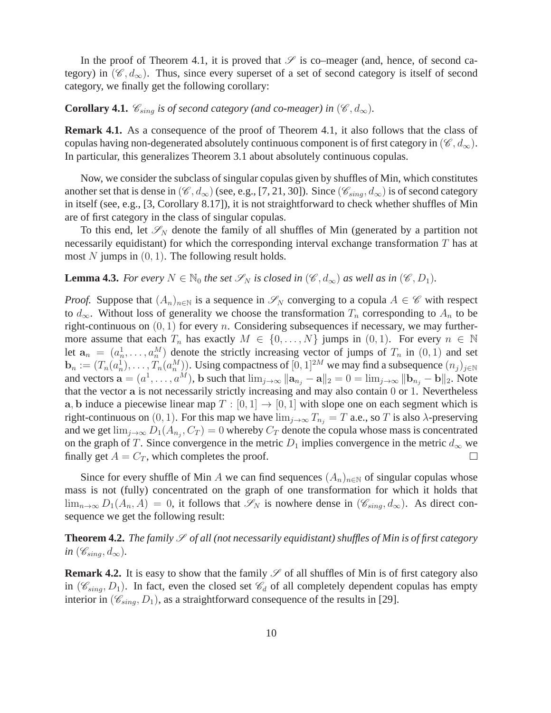In the proof of Theorem 4.1, it is proved that  $\mathscr S$  is co–meager (and, hence, of second category) in  $(\mathscr{C}, d_{\infty})$ . Thus, since every superset of a set of second category is itself of second category, we finally get the following corollary:

**Corollary 4.1.**  $\mathcal{C}_{sing}$  *is of second category (and co-meager) in* ( $\mathcal{C}, d_{\infty}$ ).

**Remark 4.1.** As a consequence of the proof of Theorem 4.1, it also follows that the class of copulas having non-degenerated absolutely continuous component is of first category in  $(\mathscr{C}, d_{\infty})$ . In particular, this generalizes Theorem 3.1 about absolutely continuous copulas.

Now, we consider the subclass of singular copulas given by shuffles of Min, which constitutes another set that is dense in  $(\mathscr{C}, d_{\infty})$  (see, e.g., [7, 21, 30]). Since  $(\mathscr{C}_{sing}, d_{\infty})$  is of second category in itself (see, e.g., [3, Corollary 8.17]), it is not straightforward to check whether shuffles of Min are of first category in the class of singular copulas.

To this end, let  $\mathscr{S}_N$  denote the family of all shuffles of Min (generated by a partition not necessarily equidistant) for which the corresponding interval exchange transformation  $T$  has at most N jumps in  $(0, 1)$ . The following result holds.

**Lemma 4.3.** *For every*  $N \in \mathbb{N}_0$  *the set*  $\mathscr{S}_N$  *is closed in*  $(\mathscr{C}, d_{\infty})$  *as well as in*  $(\mathscr{C}, D_1)$ *.* 

*Proof.* Suppose that  $(A_n)_{n\in\mathbb{N}}$  is a sequence in  $\mathscr{S}_N$  converging to a copula  $A \in \mathscr{C}$  with respect to  $d_{\infty}$ . Without loss of generality we choose the transformation  $T_n$  corresponding to  $A_n$  to be right-continuous on  $(0, 1)$  for every n. Considering subsequences if necessary, we may furthermore assume that each  $T_n$  has exactly  $M \in \{0, ..., N\}$  jumps in  $(0, 1)$ . For every  $n \in \mathbb{N}$ let  $a_n = (a_n^1, \ldots, a_n^M)$  denote the strictly increasing vector of jumps of  $T_n$  in  $(0, 1)$  and set  $\mathbf{b}_n := (T_n(a_n^1), \dots, T_n(a_n^M))$ . Using compactness of  $[0, 1]^{2M}$  we may find a subsequence  $(n_j)_{j \in \mathbb{N}}$ and vectors  $\mathbf{a} = (a^1, \dots, a^M)$ , b such that  $\lim_{j \to \infty} ||\mathbf{a}_{n_j} - \mathbf{a}||_2 = 0 = \lim_{j \to \infty} ||\mathbf{b}_{n_j} - \mathbf{b}||_2$ . Note that the vector a is not necessarily strictly increasing and may also contain 0 or 1. Nevertheless a, b induce a piecewise linear map  $T : [0, 1] \rightarrow [0, 1]$  with slope one on each segment which is right-continuous on (0, 1). For this map we have  $\lim_{j\to\infty} T_{n_j} = T$  a.e., so T is also  $\lambda$ -preserving and we get  $\lim_{j\to\infty} D_1(A_{n_j}, C_T) = 0$  whereby  $C_T$  denote the copula whose mass is concentrated on the graph of T. Since convergence in the metric  $D_1$  implies convergence in the metric  $d_{\infty}$  we finally get  $A = C_T$ , which completes the proof. finally get  $A = C_T$ , which completes the proof.

Since for every shuffle of Min A we can find sequences  $(A_n)_{n\in\mathbb{N}}$  of singular copulas whose mass is not (fully) concentrated on the graph of one transformation for which it holds that  $\lim_{n\to\infty} D_1(A_n, A) = 0$ , it follows that  $\mathscr{S}_N$  is nowhere dense in  $(\mathscr{C}_{sing}, d_{\infty})$ . As direct consequence we get the following result:

**Theorem 4.2.** *The family*  $\mathscr S$  *of all (not necessarily equidistant) shuffles of Min is of first category in* ( $\mathscr{C}_{sing}, d_{\infty}$ ).

**Remark 4.2.** It is easy to show that the family  $\mathscr S$  of all shuffles of Min is of first category also in ( $\mathscr{C}_{sing}, D_1$ ). In fact, even the closed set  $\mathscr{C}_d$  of all completely dependent copulas has empty interior in  $(\mathscr{C}_{\text{sing}}, D_1)$ , as a straightforward consequence of the results in [29].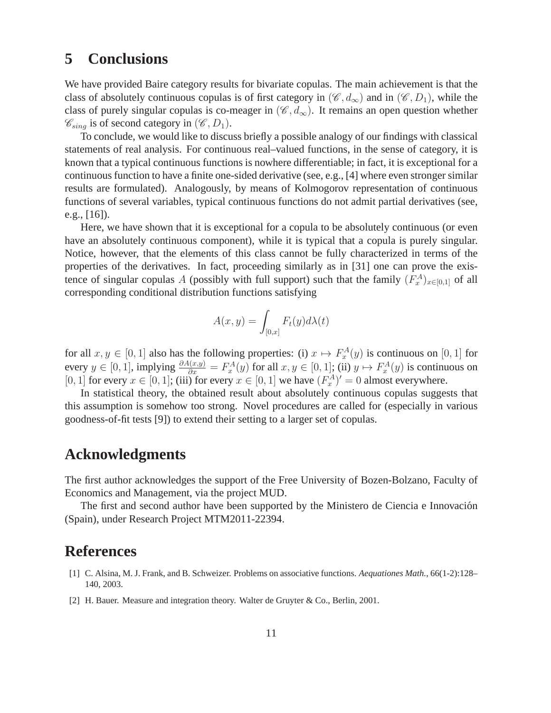## **5 Conclusions**

We have provided Baire category results for bivariate copulas. The main achievement is that the class of absolutely continuous copulas is of first category in  $(\mathscr{C}, d_{\infty})$  and in  $(\mathscr{C}, D_1)$ , while the class of purely singular copulas is co-meager in  $(\mathscr{C}, d_{\infty})$ . It remains an open question whether  $\mathscr{C}_{sing}$  is of second category in  $(\mathscr{C}, D_1)$ .

To conclude, we would like to discuss briefly a possible analogy of our findings with classical statements of real analysis. For continuous real–valued functions, in the sense of category, it is known that a typical continuous functions is nowhere differentiable; in fact, it is exceptional for a continuous function to have a finite one-sided derivative (see, e.g., [4] where even stronger similar results are formulated). Analogously, by means of Kolmogorov representation of continuous functions of several variables, typical continuous functions do not admit partial derivatives (see, e.g., [16]).

Here, we have shown that it is exceptional for a copula to be absolutely continuous (or even have an absolutely continuous component), while it is typical that a copula is purely singular. Notice, however, that the elements of this class cannot be fully characterized in terms of the properties of the derivatives. In fact, proceeding similarly as in [31] one can prove the existence of singular copulas A (possibly with full support) such that the family  $(F_x^A)_{x \in [0,1]}$  of all corresponding conditional distribution functions satisfying

$$
A(x,y) = \int_{[0,x]} F_t(y) d\lambda(t)
$$

for all  $x, y \in [0, 1]$  also has the following properties: (i)  $x \mapsto F_x^A(y)$  is continuous on [0, 1] for every  $y \in [0, 1]$ , implying  $\frac{\partial A(x,y)}{\partial x} = F_x^A(y)$  for all  $x, y \in [0, 1]$ ; (ii)  $y \mapsto F_x^A(y)$  is continuous on [0, 1] for every  $x \in [0, 1]$ ; (iii) for every  $x \in [0, 1]$  we have  $(F_x^A)' = 0$  almost everywhere.

In statistical theory, the obtained result about absolutely continuous copulas suggests that this assumption is somehow too strong. Novel procedures are called for (especially in various goodness-of-fit tests [9]) to extend their setting to a larger set of copulas.

### **Acknowledgments**

The first author acknowledges the support of the Free University of Bozen-Bolzano, Faculty of Economics and Management, via the project MUD.

The first and second author have been supported by the Ministero de Ciencia e Innovacion´ (Spain), under Research Project MTM2011-22394.

# **References**

- [1] C. Alsina, M. J. Frank, and B. Schweizer. Problems on associative functions. *Aequationes Math.*, 66(1-2):128– 140, 2003.
- [2] H. Bauer. Measure and integration theory. Walter de Gruyter & Co., Berlin, 2001.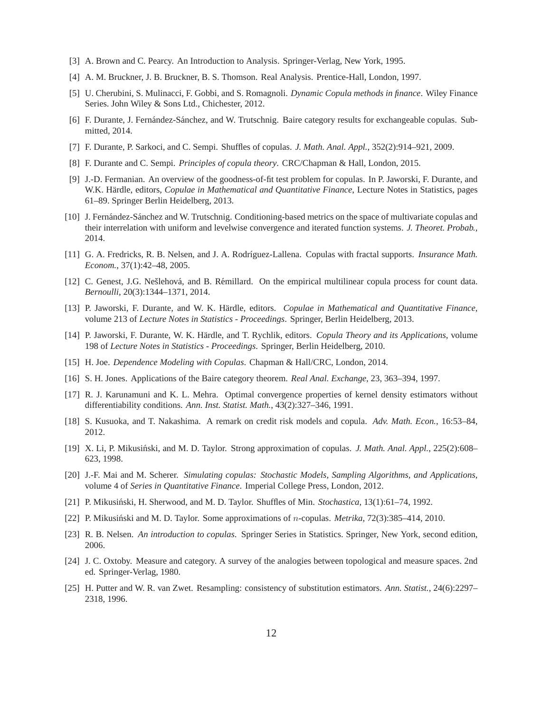- [3] A. Brown and C. Pearcy. An Introduction to Analysis. Springer-Verlag, New York, 1995.
- [4] A. M. Bruckner, J. B. Bruckner, B. S. Thomson. Real Analysis. Prentice-Hall, London, 1997.
- [5] U. Cherubini, S. Mulinacci, F. Gobbi, and S. Romagnoli. *Dynamic Copula methods in finance*. Wiley Finance Series. John Wiley & Sons Ltd., Chichester, 2012.
- [6] F. Durante, J. Fernández-Sánchez, and W. Trutschnig. Baire category results for exchangeable copulas. Submitted, 2014.
- [7] F. Durante, P. Sarkoci, and C. Sempi. Shuffles of copulas. *J. Math. Anal. Appl.*, 352(2):914–921, 2009.
- [8] F. Durante and C. Sempi. *Principles of copula theory*. CRC/Chapman & Hall, London, 2015.
- [9] J.-D. Fermanian. An overview of the goodness-of-fit test problem for copulas. In P. Jaworski, F. Durante, and W.K. Härdle, editors, Copulae in Mathematical and Quantitative Finance, Lecture Notes in Statistics, pages 61–89. Springer Berlin Heidelberg, 2013.
- [10] J. Fernández-Sánchez and W. Trutschnig. Conditioning-based metrics on the space of multivariate copulas and their interrelation with uniform and levelwise convergence and iterated function systems. *J. Theoret. Probab.*, 2014.
- [11] G. A. Fredricks, R. B. Nelsen, and J. A. Rodríguez-Lallena. Copulas with fractal supports. *Insurance Math. Econom.*, 37(1):42–48, 2005.
- [12] C. Genest, J.G. Nešlehová, and B. Rémillard. On the empirical multilinear copula process for count data. *Bernoulli*, 20(3):1344–1371, 2014.
- [13] P. Jaworski, F. Durante, and W. K. Hardle, editors. ¨ *Copulae in Mathematical and Quantitative Finance*, volume 213 of *Lecture Notes in Statistics - Proceedings*. Springer, Berlin Heidelberg, 2013.
- [14] P. Jaworski, F. Durante, W. K. Hardle, and T. Rychlik, editors. ¨ *Copula Theory and its Applications*, volume 198 of *Lecture Notes in Statistics - Proceedings*. Springer, Berlin Heidelberg, 2010.
- [15] H. Joe. *Dependence Modeling with Copulas*. Chapman & Hall/CRC, London, 2014.
- [16] S. H. Jones. Applications of the Baire category theorem. *Real Anal. Exchange*, 23, 363–394, 1997.
- [17] R. J. Karunamuni and K. L. Mehra. Optimal convergence properties of kernel density estimators without differentiability conditions. *Ann. Inst. Statist. Math.*, 43(2):327–346, 1991.
- [18] S. Kusuoka, and T. Nakashima. A remark on credit risk models and copula. *Adv. Math. Econ.*, 16:53–84, 2012.
- [19] X. Li, P. Mikusiński, and M. D. Taylor. Strong approximation of copulas. *J. Math. Anal. Appl.*, 225(2):608– 623, 1998.
- [20] J.-F. Mai and M. Scherer. *Simulating copulas: Stochastic Models, Sampling Algorithms, and Applications*, volume 4 of *Series in Quantitative Finance*. Imperial College Press, London, 2012.
- [21] P. Mikusinski, H. Sherwood, and M. D. Taylor. Shuffles of Min. ´ *Stochastica*, 13(1):61–74, 1992.
- [22] P. Mikusiński and M. D. Taylor. Some approximations of *n*-copulas. *Metrika*, 72(3):385–414, 2010.
- [23] R. B. Nelsen. *An introduction to copulas*. Springer Series in Statistics. Springer, New York, second edition, 2006.
- [24] J. C. Oxtoby. Measure and category. A survey of the analogies between topological and measure spaces. 2nd ed. Springer-Verlag, 1980.
- [25] H. Putter and W. R. van Zwet. Resampling: consistency of substitution estimators. *Ann. Statist.*, 24(6):2297– 2318, 1996.